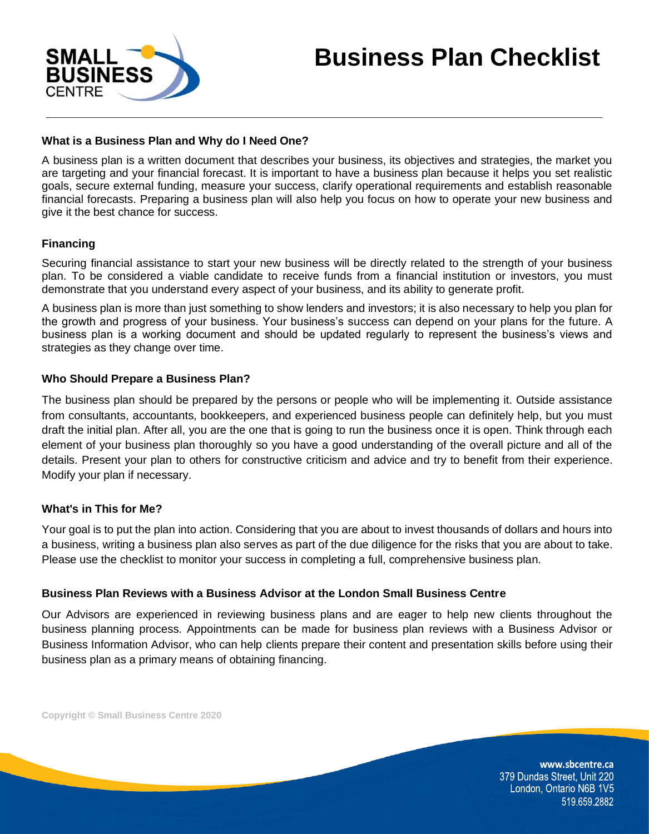

## **What is a Business Plan and Why do I Need One?**

A business plan is a written document that describes your business, its objectives and strategies, the market you are targeting and your financial forecast. It is important to have a business plan because it helps you set realistic goals, secure external funding, measure your success, clarify operational requirements and establish reasonable financial forecasts. Preparing a business plan will also help you focus on how to operate your new business and give it the best chance for success.

## **Financing**

Securing financial assistance to start your new business will be directly related to the strength of your business plan. To be considered a viable candidate to receive funds from a financial institution or investors, you must demonstrate that you understand every aspect of your business, and its ability to generate profit.

A business plan is more than just something to show lenders and investors; it is also necessary to help you plan for the growth and progress of your business. Your business's success can depend on your plans for the future. A business plan is a working document and should be updated regularly to represent the business's views and strategies as they change over time.

## **Who Should Prepare a Business Plan?**

The business plan should be prepared by the persons or people who will be implementing it. Outside assistance from consultants, accountants, bookkeepers, and experienced business people can definitely help, but you must draft the initial plan. After all, you are the one that is going to run the business once it is open. Think through each element of your business plan thoroughly so you have a good understanding of the overall picture and all of the details. Present your plan to others for constructive criticism and advice and try to benefit from their experience. Modify your plan if necessary.

## **What's in This for Me?**

Your goal is to put the plan into action. Considering that you are about to invest thousands of dollars and hours into a business, writing a business plan also serves as part of the due diligence for the risks that you are about to take. Please use the checklist to monitor your success in completing a full, comprehensive business plan.

## **Business Plan Reviews with a Business Advisor at the London Small Business Centre**

Our Advisors are experienced in reviewing business plans and are eager to help new clients throughout the business planning process. Appointments can be made for business plan reviews with a Business Advisor or Business Information Advisor, who can help clients prepare their content and presentation skills before using their business plan as a primary means of obtaining financing.

**Copyright © Small Business Centre 2020**

www.sbcentre.ca 379 Dundas Street, Unit 220 London, Ontario N6B 1V5 519.659.2882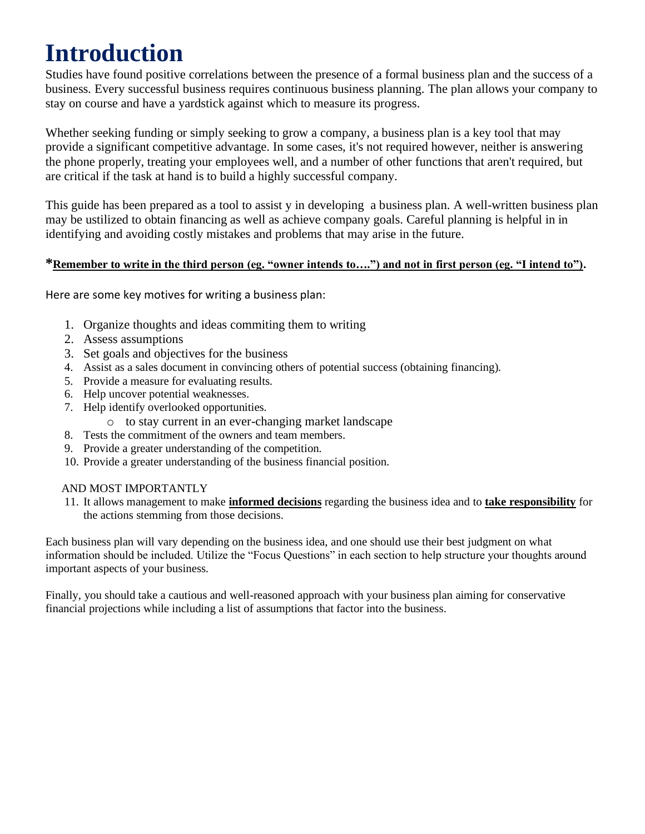# **Introduction**

Studies have found positive correlations between the presence of a formal business plan and the success of a business. Every successful business requires continuous business planning. The plan allows your company to stay on course and have a yardstick against which to measure its progress.

Whether seeking funding or simply seeking to grow a company, a business plan is a key tool that may provide a significant competitive advantage. In some cases, it's not required however, neither is answering the phone properly, treating your employees well, and a number of other functions that aren't required, but are critical if the task at hand is to build a highly successful company.

This guide has been prepared as a tool to assist y in developing a business plan. A well-written business plan may be ustilized to obtain financing as well as achieve company goals. Careful planning is helpful in in identifying and avoiding costly mistakes and problems that may arise in the future.

## **\*Remember to write in the third person (eg. "owner intends to….") and not in first person (eg. "I intend to").**

Here are some key motives for writing a business plan:

- 1. Organize thoughts and ideas commiting them to writing
- 2. Assess assumptions
- 3. Set goals and objectives for the business
- 4. Assist as a sales document in convincing others of potential success (obtaining financing).
- 5. Provide a measure for evaluating results.
- 6. Help uncover potential weaknesses.
- 7. Help identify overlooked opportunities.
	- o to stay current in an ever-changing market landscape
- 8. Tests the commitment of the owners and team members.
- 9. Provide a greater understanding of the competition.
- 10. Provide a greater understanding of the business financial position.

## AND MOST IMPORTANTLY

11. It allows management to make **informed decisions** regarding the business idea and to **take responsibility** for the actions stemming from those decisions.

Each business plan will vary depending on the business idea, and one should use their best judgment on what information should be included. Utilize the "Focus Questions" in each section to help structure your thoughts around important aspects of your business.

Finally, you should take a cautious and well-reasoned approach with your business plan aiming for conservative financial projections while including a list of assumptions that factor into the business.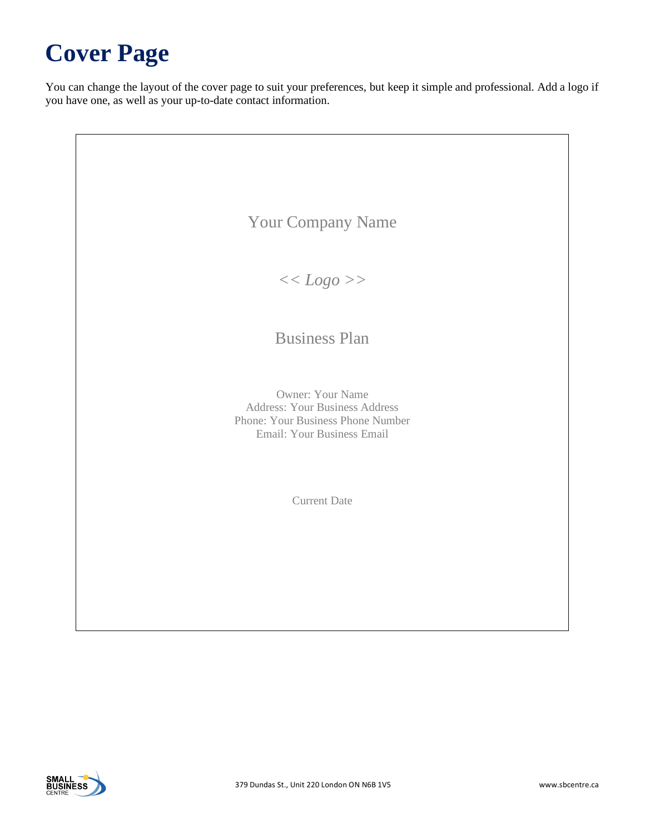# **Cover Page**

You can change the layout of the cover page to suit your preferences, but keep it simple and professional. Add a logo if you have one, as well as your up-to-date contact information.

| <b>Your Company Name</b>                                                                                                     |
|------------------------------------------------------------------------------------------------------------------------------|
| << Logo                                                                                                                      |
| <b>Business Plan</b>                                                                                                         |
| Owner: Your Name<br><b>Address: Your Business Address</b><br>Phone: Your Business Phone Number<br>Email: Your Business Email |
| <b>Current Date</b>                                                                                                          |
|                                                                                                                              |
|                                                                                                                              |

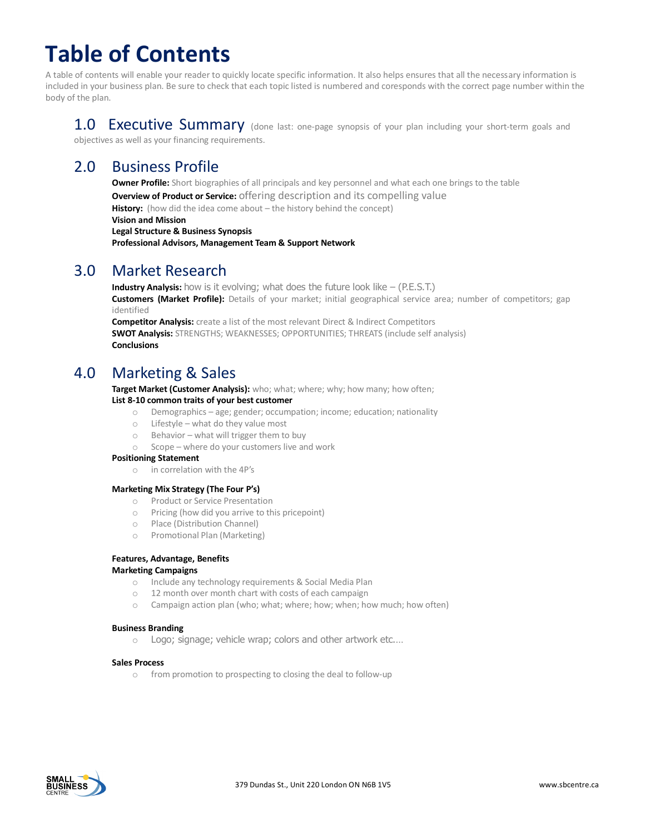# **Table of Contents**

A table of contents will enable your reader to quickly locate specific information. It also helps ensures that all the necessary information is included in your business plan. Be sure to check that each topic listed is numbered and coresponds with the correct page number within the body of the plan.

1.0 Executive Summary (done last: one-page synopsis of your plan including your short-term goals and objectives as well as your financing requirements.

# 2.0 Business Profile

**Owner Profile:** Short biographies of all principals and key personnel and what each one brings to the table

**Overview of Product or Service:** offering description and its compelling value

**History:** (how did the idea come about – the history behind the concept)

**Vision and Mission**

**Legal Structure & Business Synopsis**

**Professional Advisors, Management Team & Support Network** 

# 3.0 Market Research

**Industry Analysis:** how is it evolving; what does the future look like - (P.E.S.T.) **Customers (Market Profile):** Details of your market; initial geographical service area; number of competitors; gap identified

**Competitor Analysis:** create a list of the most relevant Direct & Indirect Competitors **SWOT Analysis:** STRENGTHS; WEAKNESSES; OPPORTUNITIES; THREATS (include self analysis) **Conclusions**

# 4.0 Marketing & Sales

**Target Market (Customer Analysis):** who; what; where; why; how many; how often; **List 8-10 common traits of your best customer**

## o Demographics – age; gender; occumpation; income; education; nationality

- o Lifestyle what do they value most
- o Behavior what will trigger them to buy
- o Scope where do your customers live and work

#### **Positioning Statement**

o in correlation with the 4P's

#### **Marketing Mix Strategy (The Four P's)**

- o Product or Service Presentation
- o Pricing (how did you arrive to this pricepoint)
- o Place (Distribution Channel)
- o Promotional Plan (Marketing)

#### **Features, Advantage, Benefits**

#### **Marketing Campaigns**

- o Include any technology requirements & Social Media Plan
- o 12 month over month chart with costs of each campaign
- o Campaign action plan (who; what; where; how; when; how much; how often)

#### **Business Branding**

o Logo; signage; vehicle wrap; colors and other artwork etc.…

#### **Sales Process**

o from promotion to prospecting to closing the deal to follow-up